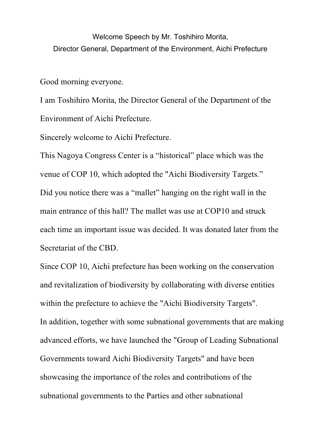Welcome Speech by Mr. Toshihiro Morita, Director General, Department of the Environment, Aichi Prefecture

Good morning everyone.

I am Toshihiro Morita, the Director General of the Department of the Environment of Aichi Prefecture.

Sincerely welcome to Aichi Prefecture.

This Nagoya Congress Center is a "historical" place which was the venue of COP 10, which adopted the "Aichi Biodiversity Targets." Did you notice there was a "mallet" hanging on the right wall in the main entrance of this hall? The mallet was use at COP10 and struck each time an important issue was decided. It was donated later from the Secretariat of the CBD.

Since COP 10, Aichi prefecture has been working on the conservation and revitalization of biodiversity by collaborating with diverse entities within the prefecture to achieve the "Aichi Biodiversity Targets". In addition, together with some subnational governments that are making advanced efforts, we have launched the "Group of Leading Subnational Governments toward Aichi Biodiversity Targets" and have been showcasing the importance of the roles and contributions of the subnational governments to the Parties and other subnational